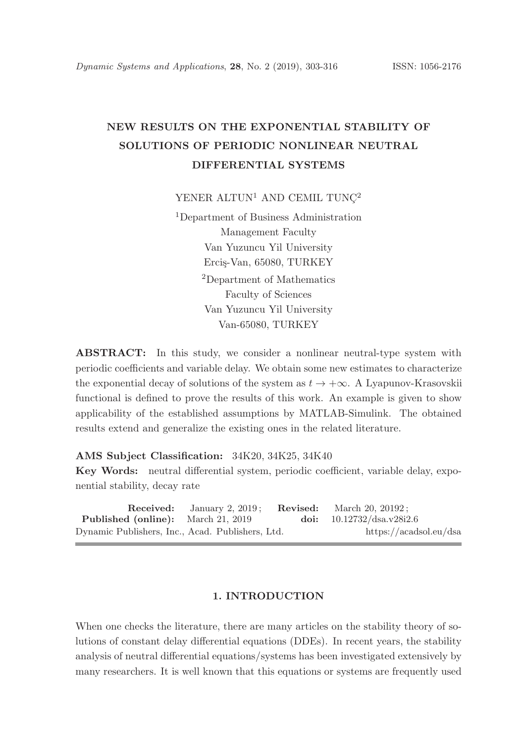# NEW RESULTS ON THE EXPONENTIAL STABILITY OF SOLUTIONS OF PERIODIC NONLINEAR NEUTRAL DIFFERENTIAL SYSTEMS

YENER ALTUN<sup>1</sup> AND CEMIL TUNC<sup>2</sup>

<sup>1</sup>Department of Business Administration Management Faculty Van Yuzuncu Yil University Ercis-Van, 65080, TURKEY <sup>2</sup>Department of Mathematics Faculty of Sciences Van Yuzuncu Yil University Van-65080, TURKEY

ABSTRACT: In this study, we consider a nonlinear neutral-type system with periodic coefficients and variable delay. We obtain some new estimates to characterize the exponential decay of solutions of the system as  $t \to +\infty$ . A Lyapunov-Krasovskii functional is defined to prove the results of this work. An example is given to show applicability of the established assumptions by MATLAB-Simulink. The obtained results extend and generalize the existing ones in the related literature.

### AMS Subject Classification: 34K20, 34K25, 34K40

Key Words: neutral differential system, periodic coefficient, variable delay, exponential stability, decay rate

|                                                  | <b>Received:</b> January 2, 2019; | <b>Revised:</b> March 20, 20192; |
|--------------------------------------------------|-----------------------------------|----------------------------------|
| <b>Published (online):</b> March 21, 2019        |                                   | doi: $10.12732/dsa.v28i2.6$      |
| Dynamic Publishers, Inc., Acad. Publishers, Ltd. |                                   | https://acadsol.eu/dsa           |

## 1. INTRODUCTION

When one checks the literature, there are many articles on the stability theory of solutions of constant delay differential equations (DDEs). In recent years, the stability analysis of neutral differential equations/systems has been investigated extensively by many researchers. It is well known that this equations or systems are frequently used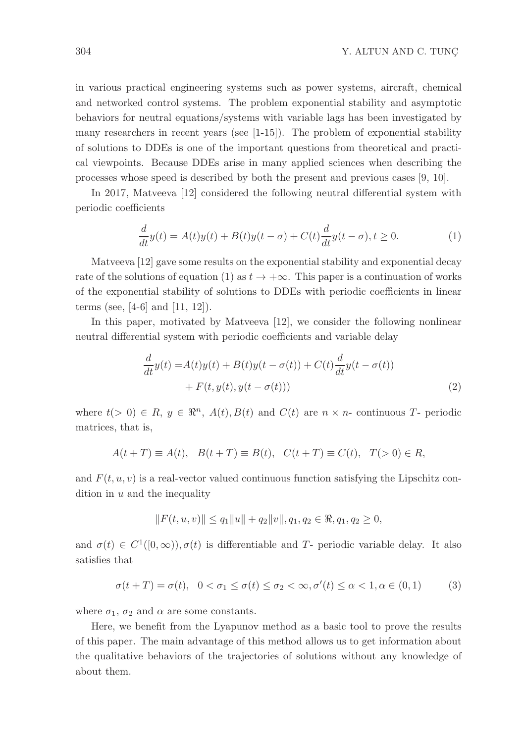in various practical engineering systems such as power systems, aircraft, chemical and networked control systems. The problem exponential stability and asymptotic behaviors for neutral equations/systems with variable lags has been investigated by many researchers in recent years (see [1-15]). The problem of exponential stability of solutions to DDEs is one of the important questions from theoretical and practical viewpoints. Because DDEs arise in many applied sciences when describing the processes whose speed is described by both the present and previous cases [9, 10].

In 2017, Matveeva [12] considered the following neutral differential system with periodic coefficients

$$
\frac{d}{dt}y(t) = A(t)y(t) + B(t)y(t-\sigma) + C(t)\frac{d}{dt}y(t-\sigma), t \ge 0.
$$
\n(1)

Matveeva [12] gave some results on the exponential stability and exponential decay rate of the solutions of equation (1) as  $t \to +\infty$ . This paper is a continuation of works of the exponential stability of solutions to DDEs with periodic coefficients in linear terms (see, [4-6] and [11, 12]).

In this paper, motivated by Matveeva [12], we consider the following nonlinear neutral differential system with periodic coefficients and variable delay

$$
\frac{d}{dt}y(t) = A(t)y(t) + B(t)y(t - \sigma(t)) + C(t)\frac{d}{dt}y(t - \sigma(t))
$$
  
+  $F(t, y(t), y(t - \sigma(t)))$  (2)

where  $t(> 0) \in R$ ,  $y \in \mathbb{R}^n$ ,  $A(t), B(t)$  and  $C(t)$  are  $n \times n$ - continuous T- periodic matrices, that is,

$$
A(t+T) \equiv A(t), \quad B(t+T) \equiv B(t), \quad C(t+T) \equiv C(t), \quad T(>0) \in R,
$$

and  $F(t, u, v)$  is a real-vector valued continuous function satisfying the Lipschitz condition in  $u$  and the inequality

$$
||F(t, u, v)|| \le q_1 ||u|| + q_2 ||v||, q_1, q_2 \in \mathbb{R}, q_1, q_2 \ge 0,
$$

and  $\sigma(t) \in C^1([0,\infty)), \sigma(t)$  is differentiable and T- periodic variable delay. It also satisfies that

$$
\sigma(t+T) = \sigma(t), \quad 0 < \sigma_1 \le \sigma(t) \le \sigma_2 < \infty, \sigma'(t) \le \alpha < 1, \alpha \in (0,1) \tag{3}
$$

where  $\sigma_1$ ,  $\sigma_2$  and  $\alpha$  are some constants.

Here, we benefit from the Lyapunov method as a basic tool to prove the results of this paper. The main advantage of this method allows us to get information about the qualitative behaviors of the trajectories of solutions without any knowledge of about them.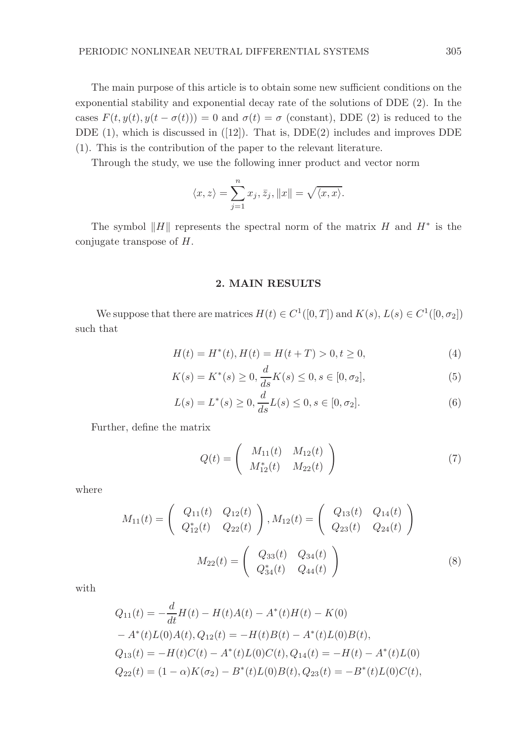The main purpose of this article is to obtain some new sufficient conditions on the exponential stability and exponential decay rate of the solutions of DDE (2). In the cases  $F(t, y(t), y(t - \sigma(t))) = 0$  and  $\sigma(t) = \sigma$  (constant), DDE (2) is reduced to the DDE  $(1)$ , which is discussed in  $([12])$ . That is, DDE $(2)$  includes and improves DDE (1). This is the contribution of the paper to the relevant literature.

Through the study, we use the following inner product and vector norm

$$
\langle x, z \rangle = \sum_{j=1}^{n} x_j, \overline{z}_j, ||x|| = \sqrt{\langle x, x \rangle}.
$$

The symbol  $||H||$  represents the spectral norm of the matrix H and  $H^*$  is the conjugate transpose of H.

## 2. MAIN RESULTS

We suppose that there are matrices  $H(t) \in C^1([0,T])$  and  $K(s), L(s) \in C^1([0,\sigma_2])$ such that

$$
H(t) = H^*(t), H(t) = H(t+T) > 0, t \ge 0,
$$
\n(4)

$$
K(s) = K^*(s) \ge 0, \frac{d}{ds}K(s) \le 0, s \in [0, \sigma_2],
$$
\n(5)

$$
L(s) = L^*(s) \ge 0, \frac{d}{ds}L(s) \le 0, s \in [0, \sigma_2].
$$
\n(6)

Further, define the matrix

$$
Q(t) = \begin{pmatrix} M_{11}(t) & M_{12}(t) \\ M_{12}^*(t) & M_{22}(t) \end{pmatrix}
$$
 (7)

where

$$
M_{11}(t) = \begin{pmatrix} Q_{11}(t) & Q_{12}(t) \\ Q_{12}^{*}(t) & Q_{22}(t) \end{pmatrix}, M_{12}(t) = \begin{pmatrix} Q_{13}(t) & Q_{14}(t) \\ Q_{23}(t) & Q_{24}(t) \end{pmatrix}
$$

$$
M_{22}(t) = \begin{pmatrix} Q_{33}(t) & Q_{34}(t) \\ Q_{34}^{*}(t) & Q_{44}(t) \end{pmatrix}
$$
(8)

with

$$
Q_{11}(t) = -\frac{d}{dt}H(t) - H(t)A(t) - A^*(t)H(t) - K(0)
$$
  
\n
$$
- A^*(t)L(0)A(t), Q_{12}(t) = -H(t)B(t) - A^*(t)L(0)B(t),
$$
  
\n
$$
Q_{13}(t) = -H(t)C(t) - A^*(t)L(0)C(t), Q_{14}(t) = -H(t) - A^*(t)L(0)
$$
  
\n
$$
Q_{22}(t) = (1 - \alpha)K(\sigma_2) - B^*(t)L(0)B(t), Q_{23}(t) = -B^*(t)L(0)C(t),
$$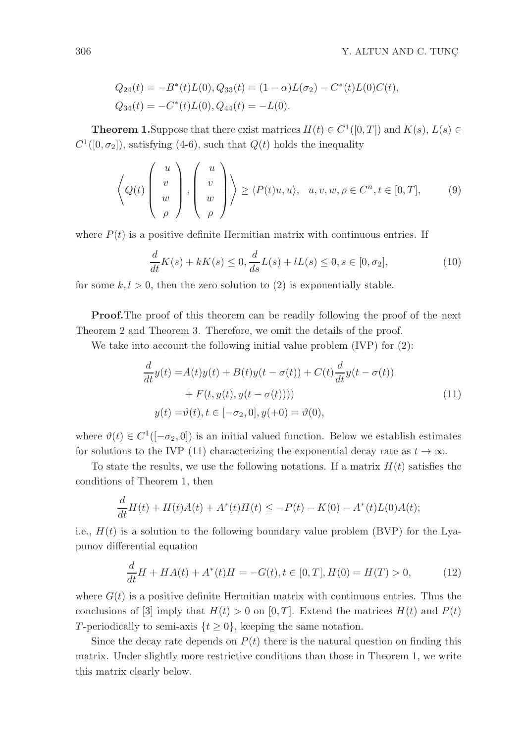$$
Q_{24}(t) = -B^*(t)L(0), Q_{33}(t) = (1 - \alpha)L(\sigma_2) - C^*(t)L(0)C(t),
$$
  
\n
$$
Q_{34}(t) = -C^*(t)L(0), Q_{44}(t) = -L(0).
$$

**Theorem 1.** Suppose that there exist matrices  $H(t) \in C^1([0, T])$  and  $K(s)$ ,  $L(s) \in$  $C^1([0,\sigma_2])$ , satisfying (4-6), such that  $Q(t)$  holds the inequality

$$
\left\langle Q(t) \left( \begin{array}{c} u \\ v \\ w \\ \rho \end{array} \right), \left( \begin{array}{c} u \\ v \\ w \\ \rho \end{array} \right) \right\rangle \geq \left\langle P(t)u, u \right\rangle, \quad u, v, w, \rho \in C^n, t \in [0, T], \tag{9}
$$

where  $P(t)$  is a positive definite Hermitian matrix with continuous entries. If

$$
\frac{d}{dt}K(s) + kK(s) \le 0, \frac{d}{ds}L(s) + lL(s) \le 0, s \in [0, \sigma_2],
$$
\n(10)

for some  $k, l > 0$ , then the zero solution to (2) is exponentially stable.

Proof.The proof of this theorem can be readily following the proof of the next Theorem 2 and Theorem 3. Therefore, we omit the details of the proof.

We take into account the following initial value problem (IVP) for (2):

$$
\frac{d}{dt}y(t) = A(t)y(t) + B(t)y(t - \sigma(t)) + C(t)\frac{d}{dt}y(t - \sigma(t))
$$

$$
+ F(t, y(t), y(t - \sigma(t))))
$$

$$
y(t) = \vartheta(t), t \in [-\sigma_2, 0], y(+0) = \vartheta(0),
$$
\n(11)

where  $\vartheta(t) \in C^1([-\sigma_2,0])$  is an initial valued function. Below we establish estimates for solutions to the IVP (11) characterizing the exponential decay rate as  $t \to \infty$ .

To state the results, we use the following notations. If a matrix  $H(t)$  satisfies the conditions of Theorem 1, then

$$
\frac{d}{dt}H(t) + H(t)A(t) + A^*(t)H(t) \le -P(t) - K(0) - A^*(t)L(0)A(t);
$$

i.e.,  $H(t)$  is a solution to the following boundary value problem (BVP) for the Lyapunov differential equation

$$
\frac{d}{dt}H + HA(t) + A^*(t)H = -G(t), t \in [0, T], H(0) = H(T) > 0,\tag{12}
$$

where  $G(t)$  is a positive definite Hermitian matrix with continuous entries. Thus the conclusions of [3] imply that  $H(t) > 0$  on [0, T]. Extend the matrices  $H(t)$  and  $P(t)$ T-periodically to semi-axis  $\{t \geq 0\}$ , keeping the same notation.

Since the decay rate depends on  $P(t)$  there is the natural question on finding this matrix. Under slightly more restrictive conditions than those in Theorem 1, we write this matrix clearly below.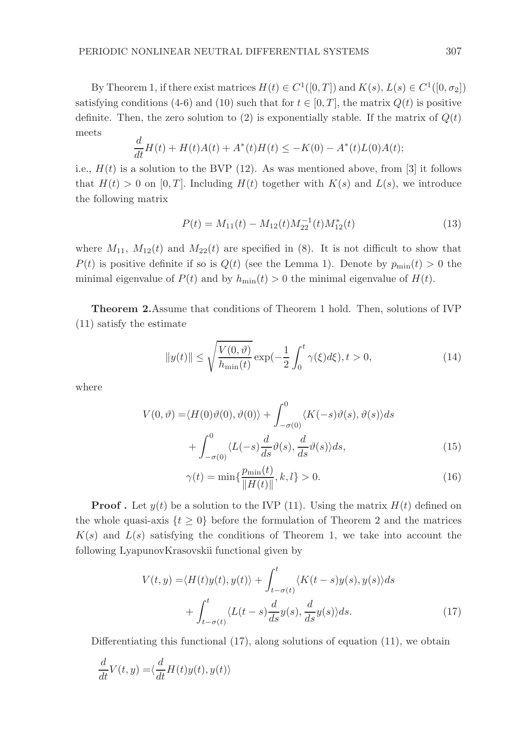By Theorem 1, if there exist matrices  $H(t) \in C^1([0,T])$  and  $K(s), L(s) \in C^1([0,\sigma_2])$ satisfying conditions (4-6) and (10) such that for  $t \in [0, T]$ , the matrix  $Q(t)$  is positive definite. Then, the zero solution to (2) is exponentially stable. If the matrix of  $Q(t)$ meets

$$
\frac{d}{dt}H(t) + H(t)A(t) + A^*(t)H(t) \le -K(0) - A^*(t)L(0)A(t);
$$

i.e.,  $H(t)$  is a solution to the BVP (12). As was mentioned above, from [3] it follows that  $H(t) > 0$  on [0, T]. Including  $H(t)$  together with  $K(s)$  and  $L(s)$ , we introduce the following matrix

$$
P(t) = M_{11}(t) - M_{12}(t)M_{22}^{-1}(t)M_{12}^*(t)
$$
\n(13)

where  $M_{11}$ ,  $M_{12}(t)$  and  $M_{22}(t)$  are specified in (8). It is not difficult to show that  $P(t)$  is positive definite if so is  $Q(t)$  (see the Lemma 1). Denote by  $p_{\min}(t) > 0$  the minimal eigenvalue of  $P(t)$  and by  $h_{\min}(t) > 0$  the minimal eigenvalue of  $H(t)$ .

Theorem 2.Assume that conditions of Theorem 1 hold. Then, solutions of IVP (11) satisfy the estimate

$$
||y(t)|| \le \sqrt{\frac{V(0,\vartheta)}{h_{\min}(t)}} \exp(-\frac{1}{2} \int_0^t \gamma(\xi) d\xi), t > 0,
$$
\n(14)

where

$$
V(0,\vartheta) = \langle H(0)\vartheta(0),\vartheta(0)\rangle + \int_{-\sigma(0)}^{0} \langle K(-s)\vartheta(s),\vartheta(s)\rangle ds + \int_{-\sigma(0)}^{0} \langle L(-s)\frac{d}{ds}\vartheta(s),\frac{d}{ds}\vartheta(s)\rangle ds,
$$
(15)

$$
\gamma(t) = \min\{\frac{p_{\min}(t)}{\|H(t)\|}, k, l\} > 0.
$$
\n(16)

**Proof.** Let  $y(t)$  be a solution to the IVP (11). Using the matrix  $H(t)$  defined on the whole quasi-axis  $\{t \geq 0\}$  before the formulation of Theorem 2 and the matrices  $K(s)$  and  $L(s)$  satisfying the conditions of Theorem 1, we take into account the following LyapunovKrasovskii functional given by

$$
V(t, y) = \langle H(t)y(t), y(t) \rangle + \int_{t-\sigma(t)}^{t} \langle K(t-s)y(s), y(s) \rangle ds
$$
  
+ 
$$
\int_{t-\sigma(t)}^{t} \langle L(t-s) \frac{d}{ds} y(s), \frac{d}{ds} y(s) \rangle ds.
$$
 (17)

Differentiating this functional (17), along solutions of equation (11), we obtain

$$
\frac{d}{dt}V(t,y) = \langle \frac{d}{dt}H(t)y(t), y(t) \rangle
$$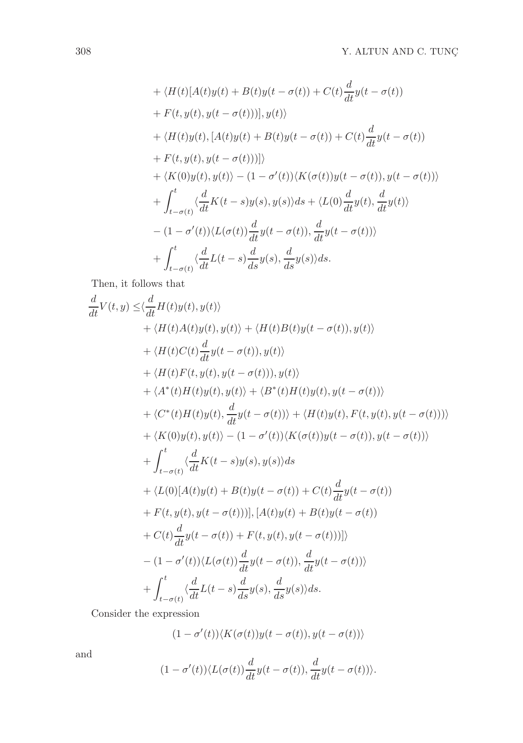+ 
$$
\langle H(t)[A(t)y(t) + B(t)y(t - \sigma(t)) + C(t)\frac{d}{dt}y(t - \sigma(t))
$$
  
\n+  $F(t, y(t), y(t - \sigma(t)))]$ ,  $y(t)\rangle$   
\n+  $\langle H(t)y(t), [A(t)y(t) + B(t)y(t - \sigma(t)) + C(t)\frac{d}{dt}y(t - \sigma(t))$   
\n+  $F(t, y(t), y(t - \sigma(t)))]\rangle$   
\n+  $\langle K(0)y(t), y(t) \rangle - (1 - \sigma'(t)) \langle K(\sigma(t))y(t - \sigma(t)), y(t - \sigma(t)) \rangle$   
\n+  $\int_{t-\sigma(t)}^{t} \langle \frac{d}{dt}K(t-s)y(s), y(s) \rangle ds + \langle L(0)\frac{d}{dt}y(t), \frac{d}{dt}y(t) \rangle$   
\n-  $(1 - \sigma'(t)) \langle L(\sigma(t))\frac{d}{dt}y(t - \sigma(t)), \frac{d}{dt}y(t - \sigma(t)) \rangle$   
\n+  $\int_{t-\sigma(t)}^{t} \langle \frac{d}{dt}L(t-s)\frac{d}{ds}y(s), \frac{d}{ds}y(s) \rangle ds$ .

Then, it follows that

$$
\frac{d}{dt}V(t,y) \leq \langle \frac{d}{dt}H(t)y(t), y(t) \rangle \n+ \langle H(t)A(t)y(t), y(t) \rangle + \langle H(t)B(t)y(t - \sigma(t)), y(t) \rangle \n+ \langle H(t)C(t)\frac{d}{dt}y(t - \sigma(t)), y(t) \rangle \n+ \langle H(t)F(t, y(t), y(t - \sigma(t))), y(t) \rangle \n+ \langle A^*(t)H(t)y(t), y(t) \rangle + \langle B^*(t)H(t)y(t), y(t - \sigma(t)) \rangle \n+ \langle C^*(t)H(t)y(t), \frac{d}{dt}y(t - \sigma(t)) \rangle + \langle H(t)y(t), F(t, y(t), y(t - \sigma(t))) \rangle \n+ \langle K(0)y(t), y(t) \rangle - (1 - \sigma'(t)) \langle K(\sigma(t))y(t - \sigma(t)), y(t - \sigma(t)) \rangle \n+ \int_{t-\sigma(t)}^{t} \langle \frac{d}{dt}K(t - s)y(s), y(s) \rangle ds \n+ \langle L(0)[A(t)y(t) + B(t)y(t - \sigma(t)) + C(t)\frac{d}{dt}y(t - \sigma(t)) \n+ F(t, y(t), y(t - \sigma(t)))], [A(t)y(t) + B(t)y(t - \sigma(t)) \n+ C(t)\frac{d}{dt}y(t - \sigma(t)) + F(t, y(t), y(t - \sigma(t)))] \rangle \n- (1 - \sigma'(t)) \langle L(\sigma(t))\frac{d}{dt}y(t - \sigma(t)), \frac{d}{dt}y(t - \sigma(t)) \rangle \n+ \int_{t-\sigma(t)}^{t} \langle \frac{d}{dt}L(t - s)\frac{d}{ds}y(s), \frac{d}{ds}y(s) \rangle ds.
$$

Consider the expression

$$
(1 - \sigma'(t)) \langle K(\sigma(t))y(t - \sigma(t)), y(t - \sigma(t)) \rangle
$$

and

$$
(1 - \sigma'(t)) \langle L(\sigma(t)) \frac{d}{dt} y(t - \sigma(t)), \frac{d}{dt} y(t - \sigma(t)) \rangle.
$$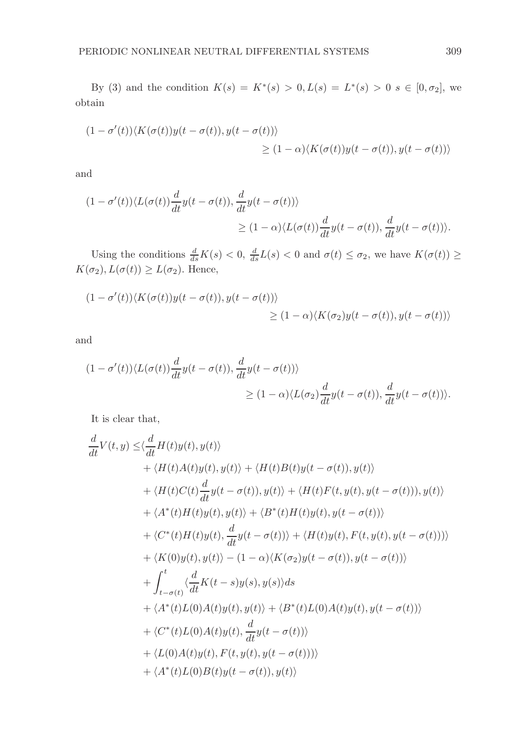By (3) and the condition  $K(s) = K^*(s) > 0, L(s) = L^*(s) > 0$   $s \in [0, \sigma_2]$ , we obtain

$$
(1 - \sigma'(t))\langle K(\sigma(t))y(t - \sigma(t)), y(t - \sigma(t))\rangle
$$
  
 
$$
\geq (1 - \alpha)\langle K(\sigma(t))y(t - \sigma(t)), y(t - \sigma(t))\rangle
$$

and

$$
(1 - \sigma'(t)) \langle L(\sigma(t)) \frac{d}{dt} y(t - \sigma(t)), \frac{d}{dt} y(t - \sigma(t)) \rangle
$$
  
 
$$
\geq (1 - \alpha) \langle L(\sigma(t)) \frac{d}{dt} y(t - \sigma(t)), \frac{d}{dt} y(t - \sigma(t)) \rangle.
$$

Using the conditions  $\frac{d}{ds}K(s) < 0$ ,  $\frac{d}{ds}L(s) < 0$  and  $\sigma(t) \leq \sigma_2$ , we have  $K(\sigma(t)) \geq$  $K(\sigma_2), L(\sigma(t)) \geq L(\sigma_2)$ . Hence,

$$
(1 - \sigma'(t))\langle K(\sigma(t))y(t - \sigma(t)), y(t - \sigma(t))\rangle
$$
  
\n
$$
\geq (1 - \alpha)\langle K(\sigma_2)y(t - \sigma(t)), y(t - \sigma(t))\rangle
$$

and

$$
(1 - \sigma'(t)) \langle L(\sigma(t)) \frac{d}{dt} y(t - \sigma(t)), \frac{d}{dt} y(t - \sigma(t)) \rangle
$$
  
 
$$
\geq (1 - \alpha) \langle L(\sigma_2) \frac{d}{dt} y(t - \sigma(t)), \frac{d}{dt} y(t - \sigma(t)) \rangle.
$$

It is clear that,

$$
\frac{d}{dt}V(t,y) \leq \langle \frac{d}{dt}H(t)y(t), y(t) \rangle
$$
\n
$$
+ \langle H(t)A(t)y(t), y(t) \rangle + \langle H(t)B(t)y(t - \sigma(t)), y(t) \rangle
$$
\n
$$
+ \langle H(t)C(t)\frac{d}{dt}y(t - \sigma(t)), y(t) \rangle + \langle H(t)F(t, y(t), y(t - \sigma(t))), y(t) \rangle
$$
\n
$$
+ \langle A^*(t)H(t)y(t), y(t) \rangle + \langle B^*(t)H(t)y(t), y(t - \sigma(t)) \rangle
$$
\n
$$
+ \langle C^*(t)H(t)y(t), \frac{d}{dt}y(t - \sigma(t)) \rangle + \langle H(t)y(t), F(t, y(t), y(t - \sigma(t))) \rangle
$$
\n
$$
+ \langle K(0)y(t), y(t) \rangle - (1 - \alpha) \langle K(\sigma_2)y(t - \sigma(t)), y(t - \sigma(t)) \rangle
$$
\n
$$
+ \int_{t-\sigma(t)}^{t} \langle \frac{d}{dt}K(t - s)y(s), y(s) \rangle ds
$$
\n
$$
+ \langle A^*(t)L(0)A(t)y(t), y(t) \rangle + \langle B^*(t)L(0)A(t)y(t), y(t - \sigma(t)) \rangle
$$
\n
$$
+ \langle C^*(t)L(0)A(t)y(t), \frac{d}{dt}y(t - \sigma(t)) \rangle
$$
\n
$$
+ \langle A^*(t)L(0)B(t)y(t) + \langle B^*(t)L(0)A(t)y(t), y(t - \sigma(t)) \rangle
$$
\n
$$
+ \langle A^*(t)L(0)B(t)y(t - \sigma(t)), y(t) \rangle
$$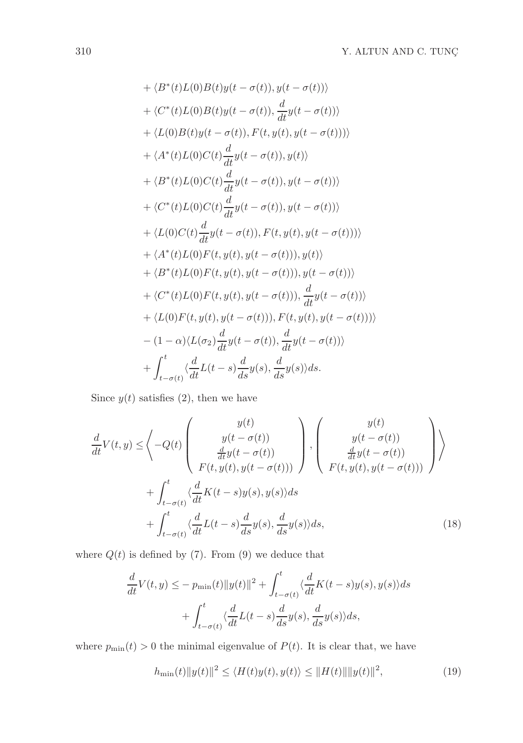+ 
$$
\langle B^*(t)L(0)B(t)y(t-\sigma(t)), y(t-\sigma(t)) \rangle
$$
  
+  $\langle C^*(t)L(0)B(t)y(t-\sigma(t)), \frac{d}{dt}y(t-\sigma(t)) \rangle$   
+  $\langle L(0)B(t)y(t-\sigma(t)), F(t, y(t), y(t-\sigma(t))) \rangle$   
+  $\langle A^*(t)L(0)C(t)\frac{d}{dt}y(t-\sigma(t)), y(t) \rangle$   
+  $\langle B^*(t)L(0)C(t)\frac{d}{dt}y(t-\sigma(t)), y(t-\sigma(t)) \rangle$   
+  $\langle C^*(t)L(0)C(t)\frac{d}{dt}y(t-\sigma(t)), y(t-\sigma(t)) \rangle$   
+  $\langle L(0)C(t)\frac{d}{dt}y(t-\sigma(t)), F(t, y(t), y(t-\sigma(t))) \rangle$   
+  $\langle A^*(t)L(0)F(t, y(t), y(t-\sigma(t))), y(t) \rangle$   
+  $\langle B^*(t)L(0)F(t, y(t), y(t-\sigma(t))), y(t-\sigma(t)) \rangle$   
+  $\langle C^*(t)L(0)F(t, y(t), y(t-\sigma(t))), y(t-\sigma(t)) \rangle$   
+  $\langle L(0)F(t, y(t), y(t-\sigma(t))), F(t, y(t), y(t-\sigma(t))) \rangle$   
+  $\langle L(0)F(t, y(t), y(t-\sigma(t))), F(t, y(t), y(t-\sigma(t))) \rangle$   
-  $(1-\alpha)\langle L(\sigma_2)\frac{d}{dt}y(t-\sigma(t)), \frac{d}{dt}y(t-\sigma(t)) \rangle$   
+  $\int_{t-\sigma(t)}^{t} \langle \frac{d}{dt}L(t-s)\frac{d}{ds}y(s), \frac{d}{ds}y(s) \rangle ds.$ 

Since  $y(t)$  satisfies (2), then we have

$$
\frac{d}{dt}V(t,y) \leq \left\langle -Q(t) \begin{pmatrix} y(t) \\ y(t-\sigma(t)) \\ \frac{d}{dt}y(t-\sigma(t)) \\ F(t,y(t),y(t-\sigma(t))) \end{pmatrix} \right\rangle, \left\langle \begin{pmatrix} y(t) \\ y(t-\sigma(t)) \\ \frac{d}{dt}y(t-\sigma(t)) \\ F(t,y(t),y(t-\sigma(t))) \end{pmatrix} \right\rangle
$$

$$
+ \int_{t-\sigma(t)}^{t} \left\langle \frac{d}{dt}K(t-s)y(s),y(s)\right\rangle ds + \int_{t-\sigma(t)}^{t} \left\langle \frac{d}{dt}L(t-s)\frac{d}{ds}y(s),\frac{d}{ds}y(s)\right\rangle ds, \tag{18}
$$

where  $Q(t)$  is defined by (7). From (9) we deduce that

$$
\frac{d}{dt}V(t,y) \le -p_{\min}(t)\|y(t)\|^2 + \int_{t-\sigma(t)}^t \langle \frac{d}{dt}K(t-s)y(s), y(s) \rangle ds \n+ \int_{t-\sigma(t)}^t \langle \frac{d}{dt}L(t-s)\frac{d}{ds}y(s), \frac{d}{ds}y(s) \rangle ds,
$$

where  $p_{\min}(t) > 0$  the minimal eigenvalue of  $P(t)$ . It is clear that, we have

$$
h_{\min}(t) \|y(t)\|^2 \le \langle H(t)y(t), y(t) \rangle \le \|H(t)\| \|y(t)\|^2,
$$
\n(19)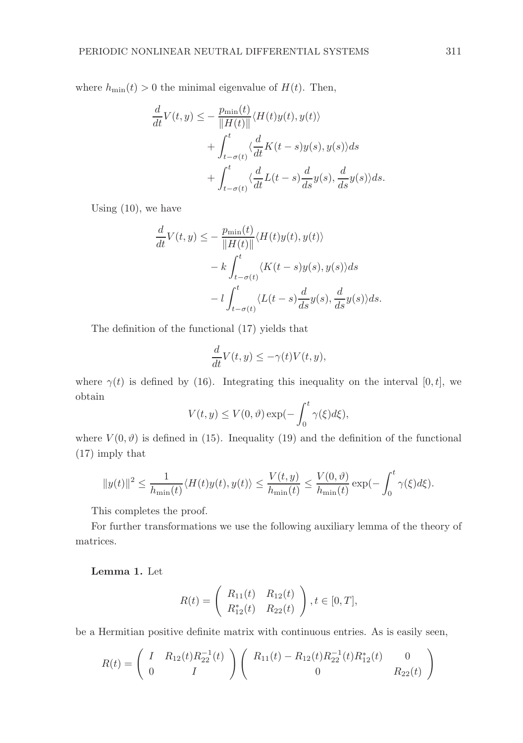where  $h_{\min}(t) > 0$  the minimal eigenvalue of  $H(t)$ . Then,

$$
\frac{d}{dt}V(t,y) \leq -\frac{p_{\min}(t)}{\|H(t)\|} \langle H(t)y(t), y(t) \rangle \n+ \int_{t-\sigma(t)}^t \langle \frac{d}{dt}K(t-s)y(s), y(s) \rangle ds \n+ \int_{t-\sigma(t)}^t \langle \frac{d}{dt}L(t-s)\frac{d}{ds}y(s), \frac{d}{ds}y(s) \rangle ds.
$$

Using (10), we have

$$
\frac{d}{dt}V(t,y) \leq -\frac{p_{\min}(t)}{\|H(t)\|} \langle H(t)y(t), y(t) \rangle \n- k \int_{t-\sigma(t)}^{t} \langle K(t-s)y(s), y(s) \rangle ds \n- l \int_{t-\sigma(t)}^{t} \langle L(t-s) \frac{d}{ds} y(s), \frac{d}{ds} y(s) \rangle ds.
$$

The definition of the functional (17) yields that

$$
\frac{d}{dt}V(t,y) \le -\gamma(t)V(t,y),
$$

where  $\gamma(t)$  is defined by (16). Integrating this inequality on the interval [0, t], we obtain

$$
V(t, y) \le V(0, \vartheta) \exp(-\int_0^t \gamma(\xi) d\xi),
$$

where  $V(0, \vartheta)$  is defined in (15). Inequality (19) and the definition of the functional (17) imply that

$$
||y(t)||^2 \leq \frac{1}{h_{\min}(t)} \langle H(t)y(t), y(t) \rangle \leq \frac{V(t, y)}{h_{\min}(t)} \leq \frac{V(0, \vartheta)}{h_{\min}(t)} \exp(-\int_0^t \gamma(\xi) d\xi).
$$

This completes the proof.

For further transformations we use the following auxiliary lemma of the theory of matrices.

Lemma 1. Let

$$
R(t) = \begin{pmatrix} R_{11}(t) & R_{12}(t) \\ R_{12}^*(t) & R_{22}(t) \end{pmatrix}, t \in [0, T],
$$

be a Hermitian positive definite matrix with continuous entries. As is easily seen,

$$
R(t) = \begin{pmatrix} I & R_{12}(t)R_{22}^{-1}(t) \\ 0 & I \end{pmatrix} \begin{pmatrix} R_{11}(t) - R_{12}(t)R_{22}^{-1}(t)R_{12}^*(t) & 0 \\ 0 & R_{22}(t) \end{pmatrix}
$$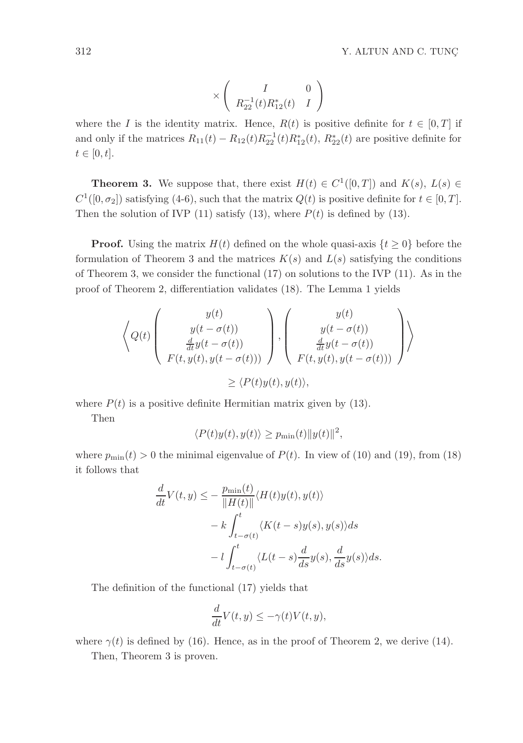$$
\times \left( \begin{array}{cc} I & 0 \\ R_{22}^{-1}(t)R_{12}^*(t) & I \end{array} \right)
$$

where the I is the identity matrix. Hence,  $R(t)$  is positive definite for  $t \in [0, T]$  if and only if the matrices  $R_{11}(t) - R_{12}(t)R_{22}^{-1}(t)R_{12}(t)$ ,  $R_{22}^*(t)$  are positive definite for  $t \in [0, t].$ 

**Theorem 3.** We suppose that, there exist  $H(t) \in C^1([0,T])$  and  $K(s)$ ,  $L(s) \in$  $C^1([0, \sigma_2])$  satisfying (4-6), such that the matrix  $Q(t)$  is positive definite for  $t \in [0, T]$ . Then the solution of IVP (11) satisfy (13), where  $P(t)$  is defined by (13).

**Proof.** Using the matrix  $H(t)$  defined on the whole quasi-axis  $\{t \geq 0\}$  before the formulation of Theorem 3 and the matrices  $K(s)$  and  $L(s)$  satisfying the conditions of Theorem 3, we consider the functional (17) on solutions to the IVP (11). As in the proof of Theorem 2, differentiation validates (18). The Lemma 1 yields

$$
\left\langle Q(t) \left( \begin{array}{c} y(t) \\ y(t - \sigma(t)) \\ \frac{d}{dt}y(t - \sigma(t)) \\ F(t, y(t), y(t - \sigma(t))) \end{array} \right), \left( \begin{array}{c} y(t) \\ y(t - \sigma(t)) \\ \frac{d}{dt}y(t - \sigma(t)) \\ F(t, y(t), y(t - \sigma(t))) \end{array} \right) \right\rangle
$$
  

$$
\geq \left\langle P(t)y(t), y(t) \right\rangle,
$$

where  $P(t)$  is a positive definite Hermitian matrix given by (13).

Then

$$
\langle P(t)y(t), y(t) \rangle \ge p_{\min}(t) \|y(t)\|^2,
$$

where  $p_{\min}(t) > 0$  the minimal eigenvalue of  $P(t)$ . In view of (10) and (19), from (18) it follows that

$$
\frac{d}{dt}V(t,y) \le -\frac{p_{\min}(t)}{\|H(t)\|} \langle H(t)y(t), y(t) \rangle \n- k \int_{t-\sigma(t)}^t \langle K(t-s)y(s), y(s) \rangle ds \n- l \int_{t-\sigma(t)}^t \langle L(t-s) \frac{d}{ds} y(s), \frac{d}{ds} y(s) \rangle ds.
$$

The definition of the functional (17) yields that

$$
\frac{d}{dt}V(t,y) \le -\gamma(t)V(t,y),
$$

where  $\gamma(t)$  is defined by (16). Hence, as in the proof of Theorem 2, we derive (14). Then, Theorem 3 is proven.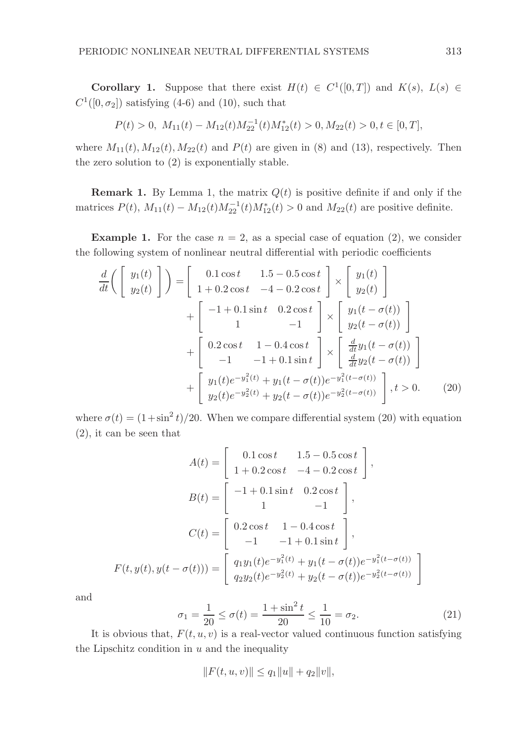**Corollary 1.** Suppose that there exist  $H(t) \in C^1([0,T])$  and  $K(s)$ ,  $L(s) \in$  $C^1([0, \sigma_2])$  satisfying (4-6) and (10), such that

$$
P(t) > 0, M_{11}(t) - M_{12}(t)M_{22}^{-1}(t)M_{12}^*(t) > 0, M_{22}(t) > 0, t \in [0, T],
$$

where  $M_{11}(t)$ ,  $M_{12}(t)$ ,  $M_{22}(t)$  and  $P(t)$  are given in (8) and (13), respectively. Then the zero solution to (2) is exponentially stable.

**Remark 1.** By Lemma 1, the matrix  $Q(t)$  is positive definite if and only if the matrices  $P(t)$ ,  $M_{11}(t) - M_{12}(t)M_{22}^{-1}(t)M_{12}(t) > 0$  and  $M_{22}(t)$  are positive definite.

**Example 1.** For the case  $n = 2$ , as a special case of equation (2), we consider the following system of nonlinear neutral differential with periodic coefficients

$$
\frac{d}{dt}\left(\begin{bmatrix} y_1(t) \\ y_2(t) \end{bmatrix}\right) = \begin{bmatrix} 0.1\cos t & 1.5 - 0.5\cos t \\ 1 + 0.2\cos t & -4 - 0.2\cos t \end{bmatrix} \times \begin{bmatrix} y_1(t) \\ y_2(t) \end{bmatrix} + \begin{bmatrix} -1 + 0.1\sin t & 0.2\cos t \\ 1 & -1 \end{bmatrix} \times \begin{bmatrix} y_1(t - \sigma(t)) \\ y_2(t - \sigma(t)) \end{bmatrix} + \begin{bmatrix} 0.2\cos t & 1 - 0.4\cos t \\ -1 & -1 + 0.1\sin t \end{bmatrix} \times \begin{bmatrix} \frac{d}{dt}y_1(t - \sigma(t)) \\ \frac{d}{dt}y_2(t - \sigma(t)) \end{bmatrix} + \begin{bmatrix} y_1(t)e^{-y_1^2(t)} + y_1(t - \sigma(t))e^{-y_1^2(t - \sigma(t))} \\ y_2(t)e^{-y_2^2(t)} + y_2(t - \sigma(t))e^{-y_2^2(t - \sigma(t))} \end{bmatrix}, t > 0.
$$
\n(20)

where  $\sigma(t) = (1 + \sin^2 t)/20$ . When we compare differential system (20) with equation (2), it can be seen that

$$
A(t) = \begin{bmatrix} 0.1 \cos t & 1.5 - 0.5 \cos t \\ 1 + 0.2 \cos t & -4 - 0.2 \cos t \end{bmatrix},
$$

$$
B(t) = \begin{bmatrix} -1 + 0.1 \sin t & 0.2 \cos t \\ 1 & -1 \end{bmatrix},
$$

$$
C(t) = \begin{bmatrix} 0.2 \cos t & 1 - 0.4 \cos t \\ -1 & -1 + 0.1 \sin t \end{bmatrix},
$$

$$
F(t, y(t), y(t - \sigma(t))) = \begin{bmatrix} q_1 y_1(t) e^{-y_1^2(t)} + y_1(t - \sigma(t)) e^{-y_1^2(t - \sigma(t))} \\ q_2 y_2(t) e^{-y_2^2(t)} + y_2(t - \sigma(t)) e^{-y_2^2(t - \sigma(t))} \end{bmatrix}
$$

and

$$
\sigma_1 = \frac{1}{20} \le \sigma(t) = \frac{1 + \sin^2 t}{20} \le \frac{1}{10} = \sigma_2.
$$
 (21)

#

It is obvious that,  $F(t, u, v)$  is a real-vector valued continuous function satisfying the Lipschitz condition in  $u$  and the inequality

$$
||F(t, u, v)|| \le q_1 ||u|| + q_2 ||v||,
$$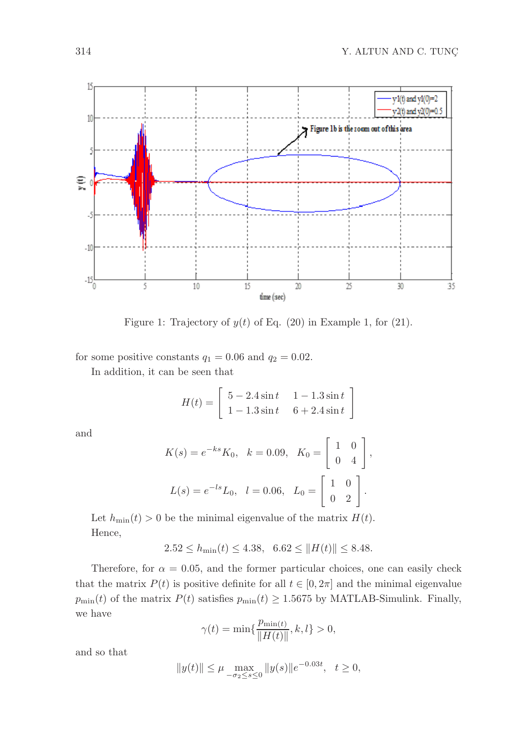

Figure 1: Trajectory of  $y(t)$  of Eq. (20) in Example 1, for (21).

for some positive constants  $q_1 = 0.06$  and  $q_2 = 0.02$ .

In addition, it can be seen that

$$
H(t) = \begin{bmatrix} 5 - 2.4 \sin t & 1 - 1.3 \sin t \\ 1 - 1.3 \sin t & 6 + 2.4 \sin t \end{bmatrix}
$$

and

$$
K(s) = e^{-ks} K_0, \quad k = 0.09, \quad K_0 = \begin{bmatrix} 1 & 0 \\ 0 & 4 \end{bmatrix},
$$

$$
L(s) = e^{-ls} L_0, \quad l = 0.06, \quad L_0 = \begin{bmatrix} 1 & 0 \\ 0 & 2 \end{bmatrix}.
$$

Let  $h_{\min}(t) > 0$  be the minimal eigenvalue of the matrix  $H(t)$ . Hence,

$$
2.52 \le h_{\min}(t) \le 4.38, \ \ 6.62 \le ||H(t)|| \le 8.48.
$$

Therefore, for  $\alpha = 0.05$ , and the former particular choices, one can easily check that the matrix  $P(t)$  is positive definite for all  $t \in [0, 2\pi]$  and the minimal eigenvalue  $p_{\min}(t)$  of the matrix  $P(t)$  satisfies  $p_{\min}(t) \geq 1.5675$  by MATLAB-Simulink. Finally, we have

$$
\gamma(t)=\min\{\frac{p_{\min(t)}}{\|H(t)\|},k,l\}>0,
$$

and so that

$$
||y(t)|| \le \mu \max_{-\sigma_2 \le s \le 0} ||y(s)||e^{-0.03t}, \quad t \ge 0,
$$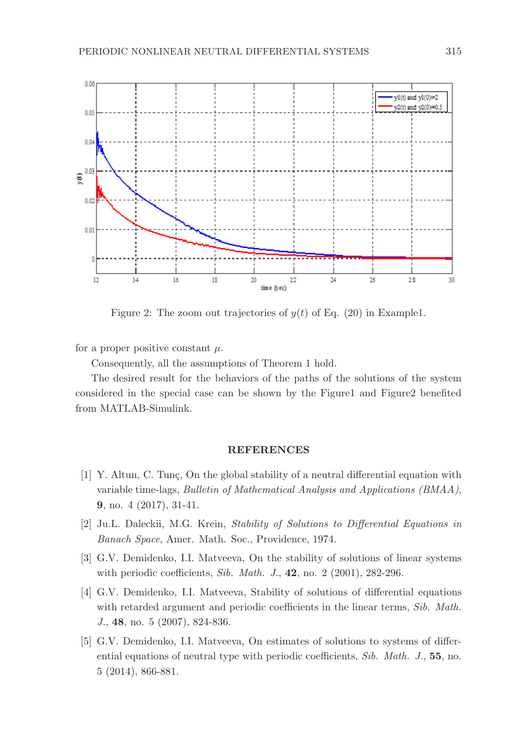

Figure 2: The zoom out trajectories of  $y(t)$  of Eq. (20) in Example1.

for a proper positive constant  $\mu$ .

Consequently, all the assumptions of Theorem 1 hold.

The desired result for the behaviors of the paths of the solutions of the system considered in the special case can be shown by the Figure1 and Figure2 benefited from MATLAB-Simulink.

#### REFERENCES

- [1] Y. Altun, C. Tung, On the global stability of a neutral differential equation with variable time-lags, Bulletin of Mathematical Analysis and Applications (BMAA), 9, no. 4 (2017), 31-41.
- [2] Ju.L. Daleckii, M.G. Krein, Stability of Solutions to Differential Equations in Banach Space, Amer. Math. Soc., Providence, 1974.
- [3] G.V. Demidenko, I.I. Matveeva, On the stability of solutions of linear systems with periodic coefficients, Sib. Math. J., 42, no. 2 (2001), 282-296.
- [4] G.V. Demidenko, I.I. Matveeva, Stability of solutions of differential equations with retarded argument and periodic coefficients in the linear terms, Sib. Math. J., 48, no. 5 (2007), 824-836.
- [5] G.V. Demidenko, I.I. Matveeva, On estimates of solutions to systems of differential equations of neutral type with periodic coefficients, Sib. Math. J., 55, no. 5 (2014), 866-881.